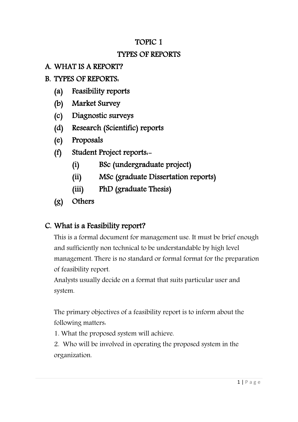### TOPIC 1

### TYPES OF REPORTS

### A. WHAT IS A REPORT?

### B. TYPES OF REPORTS:

- (a) Feasibility reports
- (b) Market Survey
- (c) Diagnostic surveys
- (d) Research (Scientific) reports
- (e) Proposals
- (f) Student Project reports:-
	- (i) BSc (undergraduate project)
	- (ii) MSc (graduate Dissertation reports)
	- (iii) PhD (graduate Thesis)
- (g) Others

### C. What is a Feasibility report?

This is a formal document for management use. It must be brief enough and sufficiently non technical to be understandable by high level management. There is no standard or formal format for the preparation of feasibility report.

Analysts usually decide on a format that suits particular user and system.

The [primary](http://www.blurtit.com/q9204316.html) objectives of a feasibility report is to inform about the following matters:

1. What the proposed system will achieve.

2. Who will be involved in operating the proposed system in the organization.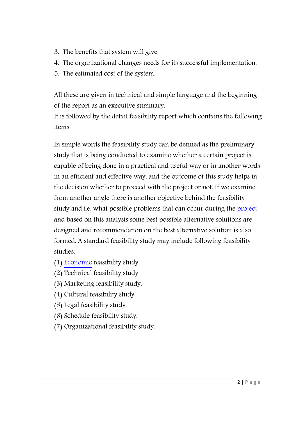- 3. The benefits that system will give.
- 4. The organizational changes needs for its successful implementation.
- 5. The estimated cost of the system.

All these are given in technical and simple language and the beginning of the report as an executive summary.

It is followed by the detail [feasibility](http://www.blurtit.com/q497230.html) report which contains the following items.

In simple words the feasibility study can be defined as the preliminary study that is being conducted to examine whether a certain project is capable of being done in a practical and useful way or in another words in an efficient and effective way, and the outcome of this study helps in the decision whether to proceed with the project or not. If we examine from another angle there is another objective behind the feasibility study and i.e. what possible problems that can occur during the [project](http://www.blurtit.com/q4163395.html) and based on this analysis some best possible alternative solutions are designed and recommendation on the best alternative solution is also formed. A standard feasibility study may include following feasibility studies.

- (1) [Economic](http://www.blurtit.com/q117820.html) feasibility study.
- (2) Technical feasibility study.
- (3) Marketing feasibility study.
- (4) Cultural feasibility study.
- (5) Legal feasibility study.
- (6) Schedule feasibility study.
- (7) Organizational feasibility study.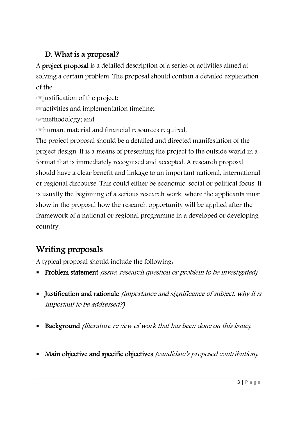### D. What is a proposal?

A project proposal is a detailed description of a series of activities aimed at solving a certain problem. The proposal should contain a detailed explanation of the:

☞justification of the project;

☞activities and implementation timeline;

☞methodology; and

☞human, material and financial resources required.

The project proposal should be a detailed and directed manifestation of the project design. It is a means of presenting the project to the outside world in a format that is immediately recognised and accepted. A research proposal should have a clear benefit and linkage to an important national, international or regional discourse. This could either be economic, social or political focus. It is usually the beginning of a serious research work, where the applicants must show in the proposal how the research opportunity will be applied after the framework of a national or regional programme in a developed or developing country.

# Writing proposals

A typical proposal should include the following:

- Problem statement *(issue, research question or problem to be investigated)*.
- Iustification and rationale *(importance and significance of subject, why it is* important to be addressed?)
- Background (literature review of work that has been done on this issue).
- Main objective and specific objectives *(candidate's proposed contribution)*.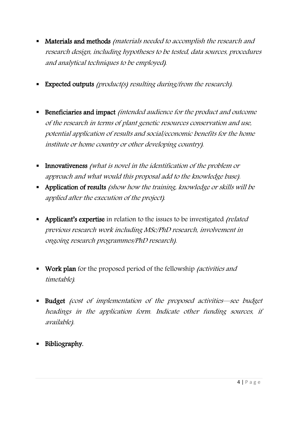- Materials and methods *(materials needed to accomplish the research and* research design, including hypotheses to be tested, data sources, procedures and analytical techniques to be employed).
- **Expected outputs** (product(s) resulting during/from the research).
- **Beneficiaries and impact** (intended audience for the product and outcome of the research in terms of plant genetic resources conservation and use, potential application of results and social/economic benefits for the home institute or home country or other developing country).
- Innovativeness (what is novel in the identification of the problem or approach and what would this proposal add to the knowledge base).
- Application of results (show how the training, knowledge or skills will be applied after the execution of the project).
- Applicant's expertise in relation to the issues to be investigated *(related*) previous research work including MSc/PhD research, involvement in ongoing research programmes/PhD research).
- **Work plan** for the proposed period of the fellowship *(activities and*) timetable).
- Budget (cost of implementation of the proposed activities—see budget headings in the application form. Indicate other funding sources, if available).
- **Bibliography.**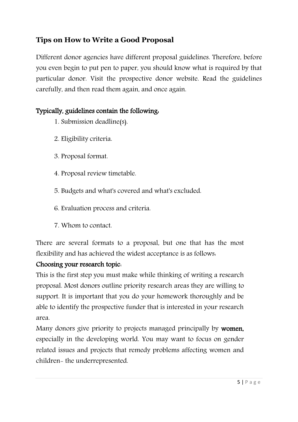### **Tips on How to Write a Good Proposal**

Different donor agencies have different proposal guidelines. Therefore, before you even begin to put pen to paper, you should know what is required by that particular donor. Visit the prospective donor website. Read the guidelines carefully, and then read them again, and once again.

#### Typically, guidelines contain the following:

- 1. Submission deadline(s).
- 2. Eligibility criteria.
- 3. Proposal format.
- 4. Proposal review timetable.
- 5. Budgets and what's covered and what's excluded.
- 6. Evaluation process and criteria.
- 7. Whom to contact.

There are several formats to a proposal, but one that has the most flexibility and has achieved the widest acceptance is as follows:

#### Choosing your research topic:

This is the first step you must make while thinking of writing a research proposal. Most donors outline priority research areas they are willing to support. It is important that you do your homework thoroughly and be able to identify the prospective funder that is interested in your research area.

Many donors give priority to projects managed principally by women, especially in the developing world. You may want to focus on gender related issues and projects that remedy problems affecting women and children- the underrepresented.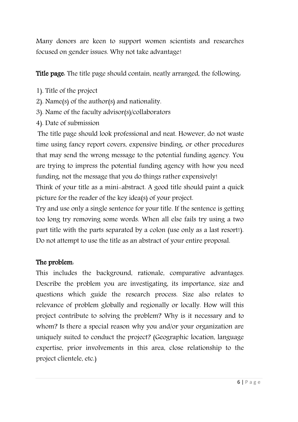Many donors are keen to support women scientists and researches focused on gender issues. Why not take advantage!

Title page: The title page should contain, neatly arranged, the following:

- 1). Title of the project
- 2). Name(s) of the author(s) and nationality.
- 3). Name of the faculty advisor(s)/collaborators
- 4). Date of submission

The title page should look professional and neat. However, do not waste time using fancy report covers, expensive binding, or other procedures that may send the wrong message to the potential funding agency. You are trying to impress the potential funding agency with how you need funding, not the message that you do things rather expensively!

Think of your title as a mini-abstract. A good title should paint a quick picture for the reader of the key idea(s) of your project.

Try and use only a single sentence for your title. If the sentence is getting too long try removing some words. When all else fails try using a two part title with the parts separated by a colon (use only as a last resort!). Do not attempt to use the title as an abstract of your entire proposal.

#### The problem:

This includes the background, rationale, comparative advantages. Describe the problem you are investigating, its importance, size and questions which guide the research process. Size also relates to relevance of problem globally and regionally or locally. How will this project contribute to solving the problem? Why is it necessary and to whom? Is there a special reason why you and/or your organization are uniquely suited to conduct the project? (Geographic location, language expertise, prior involvements in this area, close relationship to the project clientele, etc.)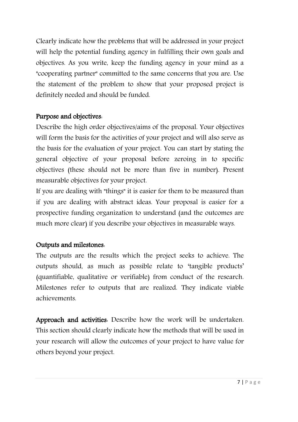Clearly indicate how the problems that will be addressed in your project will help the potential funding agency in fulfilling their own goals and objectives. As you write, keep the funding agency in your mind as a "cooperating partner" committed to the same concerns that you are. Use the statement of the problem to show that your proposed project is definitely needed and should be funded.

#### Purpose and objectives:

Describe the high order objectives/aims of the proposal. Your objectives will form the basis for the activities of your project and will also serve as the basis for the evaluation of your project. You can start by stating the general objective of your proposal before zeroing in to specific objectives (these should not be more than five in number). Present measurable objectives for your project.

If you are dealing with "things" it is easier for them to be measured than if you are dealing with abstract ideas. Your proposal is easier for a prospective funding organization to understand (and the outcomes are much more clear) if you describe your objectives in measurable ways.

#### Outputs and milestones:

The outputs are the results which the project seeks to achieve. The outputs should, as much as possible relate to 'tangible products' (quantifiable, qualitative or verifiable) from conduct of the research. Milestones refer to outputs that are realized. They indicate viable achievements.

Approach and activities: Describe how the work will be undertaken. This section should clearly indicate how the methods that will be used in your research will allow the outcomes of your project to have value for others beyond your project.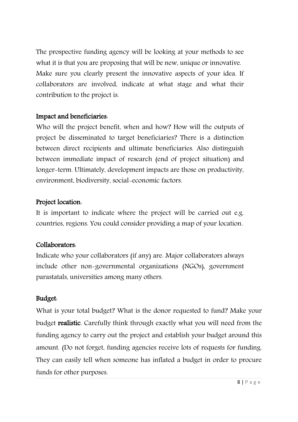The prospective funding agency will be looking at your methods to see what it is that you are proposing that will be new, unique or innovative. Make sure you clearly present the innovative aspects of your idea. If collaborators are involved, indicate at what stage and what their contribution to the project is.

#### Impact and beneficiaries:

Who will the project benefit, when and how? How will the outputs of project be disseminated to target beneficiaries? There is a distinction between direct recipients and ultimate beneficiaries. Also distinguish between immediate impact of research (end of project situation) and longer-term. Ultimately, development impacts are those on productivity, environment, biodiversity, social-economic factors.

#### Project location:

It is important to indicate where the project will be carried out e.g. countries, regions. You could consider providing a map of your location.

#### Collaborators:

Indicate who your collaborators (if any) are. Major collaborators always include other non-governmental organizations (NGOs), government parastatals, universities among many others.

#### Budget:

What is your total budget? What is the donor requested to fund? Make your budget realistic. Carefully think through exactly what you will need from the funding agency to carry out the project and establish your budget around this amount. (Do not forget, funding agencies receive lots of requests for funding. They can easily tell when someone has inflated a budget in order to procure funds for other purposes.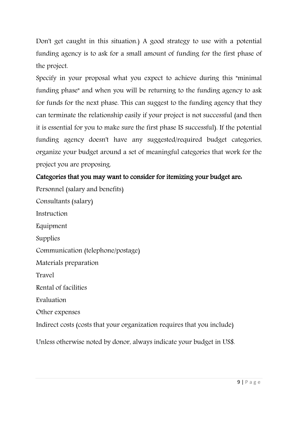Don't get caught in this situation.) A good strategy to use with a potential funding agency is to ask for a small amount of funding for the first phase of the project.

Specify in your proposal what you expect to achieve during this "minimal funding phase" and when you will be returning to the funding agency to ask for funds for the next phase. This can suggest to the funding agency that they can terminate the relationship easily if your project is not successful (and then it is essential for you to make sure the first phase IS successful). If the potential funding agency doesn't have any suggested/required budget categories, organize your budget around a set of meaningful categories that work for the project you are proposing.

#### Categories that you may want to consider for itemizing your budget are:

Personnel (salary and benefits) Consultants (salary) Instruction Equipment Supplies Communication (telephone/postage) Materials preparation Travel Rental of facilities Evaluation Other expenses Indirect costs (costs that your organization requires that you include) Unless otherwise noted by donor, always indicate your budget in US\$.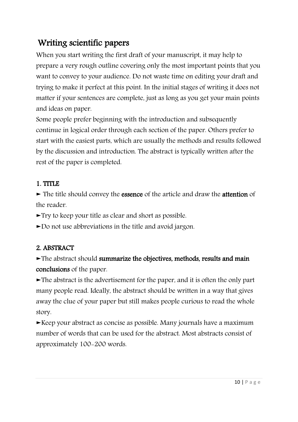# Writing scientific papers

When you start writing the first draft of your manuscript, it may help to prepare a very rough outline covering only the most important points that you want to convey to your audience. Do not waste time on editing your draft and trying to make it perfect at this point. In the initial stages of writing it does not matter if your sentences are complete, just as long as you get your main points and ideas on paper.

Some people prefer beginning with the introduction and subsequently continue in logical order through each section of the paper. Others prefer to start with the easiest parts, which are usually the methods and results followed by the discussion and introduction. The abstract is typically written after the rest of the paper is completed.

#### 1. TITLE

► The title should convey the essence of the article and draw the attention of the reader.

►Try to keep your title as clear and short as possible.

►Do not use abbreviations in the title and avoid jargon.

### 2. ABSTRACT

►The abstract should summarize the objectives, methods, results and main conclusions of the paper.

►The abstract is the advertisement for the paper, and it is often the only part many people read. Ideally, the abstract should be written in a way that gives away the clue of your paper but still makes people curious to read the whole story.

 $\blacktriangleright$ Keep your abstract as concise as possible. Many journals have a maximum number of words that can be used for the abstract. Most abstracts consist of approximately 100-200 words.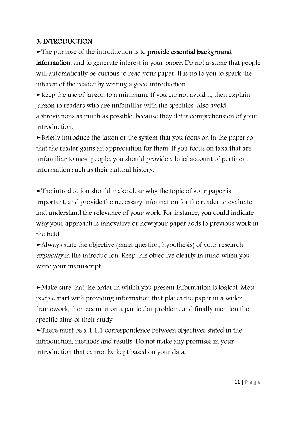#### 3. INTRODUCTION

►The purpose of the introduction is to provide essential background

information, and to generate interest in your paper. Do not assume that people will automatically be curious to read your paper. It is up to you to spark the interest of the reader by writing a good introduction.

 $\blacktriangleright$  Keep the use of jargon to a minimum. If you cannot avoid it, then explain jargon to readers who are unfamiliar with the specifics. Also avoid abbreviations as much as possible, because they deter comprehension of your introduction.

►Briefly introduce the taxon or the system that you focus on in the paper so that the reader gains an appreciation for them. If you focus on taxa that are unfamiliar to most people, you should provide a brief account of pertinent information such as their natural history.

 $\blacktriangleright$ The introduction should make clear why the topic of your paper is important, and provide the necessary information for the reader to evaluate and understand the relevance of your work. For instance, you could indicate why your approach is innovative or how your paper adds to previous work in the field.

►Always state the objective (main question, hypothesis) of your research explicitly in the introduction. Keep this objective clearly in mind when you write your manuscript.

►Make sure that the order in which you present information is logical. Most people start with providing information that places the paper in a wider framework, then zoom in on a particular problem, and finally mention the specific aims of their study.

►There must be a 1:1:1 correspondence between objectives stated in the introduction, methods and results. Do not make any promises in your introduction that cannot be kept based on your data.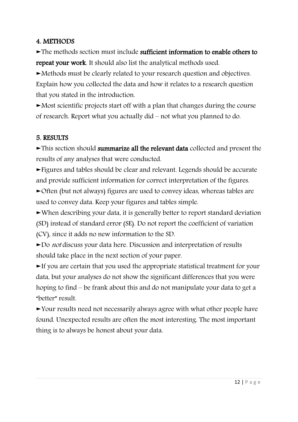#### 4. METHODS

►The methods section must include sufficient information to enable others to repeat your work. It should also list the analytical methods used.

►Methods must be clearly related to your research question and objectives. Explain how you collected the data and how it relates to a research question that you stated in the introduction.

►Most scientific projects start off with a plan that changes during the course of research. Report what you actually did – not what you planned to do.

#### 5. RESULTS

►This section should summarize all the relevant data collected and present the results of any analyses that were conducted.

►Figures and tables should be clear and relevant. Legends should be accurate and provide sufficient information for correct interpretation of the figures.

►Often (but not always) figures are used to convey ideas, whereas tables are used to convey data. Keep your figures and tables simple.

►When describing your data, it is generally better to report standard deviation (SD) instead of standard error (SE). Do not report the coefficient of variation (CV), since it adds no new information to the SD.

►Do not discuss your data here. Discussion and interpretation of results should take place in the next section of your paper.

►If you are certain that you used the appropriate statistical treatment for your data, but your analyses do not show the significant differences that you were hoping to find – be frank about this and do not manipulate your data to get a "better" result.

►Your results need not necessarily always agree with what other people have found. Unexpected results are often the most interesting. The most important thing is to always be honest about your data.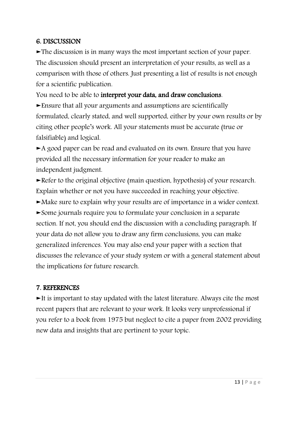#### 6. DISCUSSION

►The discussion is in many ways the most important section of your paper. The discussion should present an interpretation of your results, as well as a comparison with those of others. Just presenting a list of results is not enough for a scientific publication.

You need to be able to interpret your data, and draw conclusions.

►Ensure that all your arguments and assumptions are scientifically formulated, clearly stated, and well supported, either by your own results or by citing other people's work. All your statements must be accurate (true or falsifiable) and logical.

►A good paper can be read and evaluated on its own. Ensure that you have provided all the necessary information for your reader to make an independent judgment.

►Refer to the original objective (main question, hypothesis) of your research. Explain whether or not you have succeeded in reaching your objective.

►Make sure to explain why your results are of importance in a wider context.

►Some journals require you to formulate your conclusion in a separate section. If not, you should end the discussion with a concluding paragraph. If your data do not allow you to draw any firm conclusions, you can make generalized inferences. You may also end your paper with a section that discusses the relevance of your study system or with a general statement about the implications for future research.

#### 7. REFERENCES

►It is important to stay updated with the latest literature. Always cite the most recent papers that are relevant to your work. It looks very unprofessional if you refer to a book from 1975 but neglect to cite a paper from 2002 providing new data and insights that are pertinent to your topic.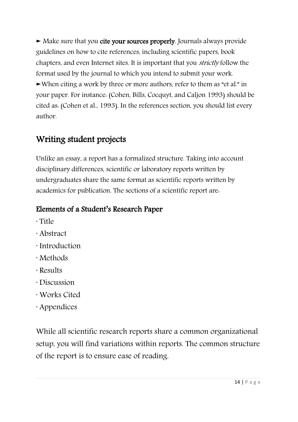► Make sure that you cite your sources properly. Journals always provide guidelines on how to cite references, including scientific papers, book chapters, and even Internet sites. It is important that you strictly follow the format used by the journal to which you intend to submit your work. ►When citing a work by three or more authors, refer to them as "et al." in your paper. For instance: (Cohen, Bills, Cocquyt, and Caljon 1993) should be cited as: (Cohen et al., 1993). In the references section, you should list every author.

# Writing student projects

Unlike an essay, a report has a formalized structure. Taking into account disciplinary differences, scientific or laboratory reports written by undergraduates share the same format as scientific reports written by academics for publication. The sections of a scientific report are:

# Elements of a Student's Research Paper

- · Title
- · Abstract
- · Introduction
- · Methods
- · Results
- · Discussion
- · Works Cited
- · Appendices

While all scientific research reports share a common organizational setup, you will find variations within reports. The common structure of the report is to ensure ease of reading.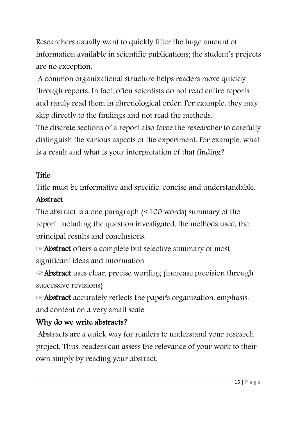Researchers usually want to quickly filter the huge amount of information available in scientific publications; the student's projects are no exception.

A common organizational structure helps readers move quickly through reports. In fact, often scientists do not read entire reports and rarely read them in chronological order. For example, they may skip directly to the findings and not read the methods.

The discrete sections of a report also force the researcher to carefully distinguish the various aspects of the experiment. For example, what is a result and what is your interpretation of that finding?

# **Title**

Title must be informative and specific, concise and understandable.

## Abstract

The abstract is a one paragraph (<100 words) summary of the report, including the question investigated, the methods used, the principal results and conclusions.

☞Abstract offers a complete but selective summary of most significant ideas and information

 $\blacktriangleright$  Abstract uses clear, precise wording (increase precision through successive revisions)

☞Abstract accurately reflects the paper's organization, emphasis, and content on a very small scale

# Why do we write abstracts?

Abstracts are a quick way for readers to understand your research project. Thus, readers can assess the relevance of your work to their own simply by reading your abstract.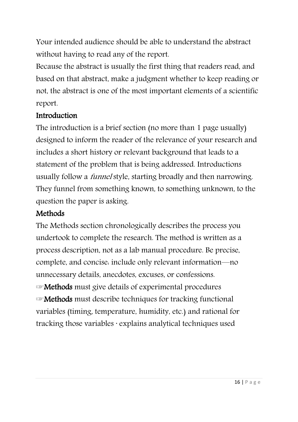Your intended audience should be able to understand the abstract without having to read any of the report.

Because the abstract is usually the first thing that readers read, and based on that abstract, make a judgment whether to keep reading or not, the abstract is one of the most important elements of a scientific report.

### **Introduction**

The introduction is a brief section (no more than 1 page usually) designed to inform the reader of the relevance of your research and includes a short history or relevant background that leads to a statement of the problem that is being addressed. Introductions usually follow a funnel style, starting broadly and then narrowing. They funnel from something known, to something unknown, to the question the paper is asking.

### **Methods**

The Methods section chronologically describes the process you undertook to complete the research. The method is written as a process description, not as a lab manual procedure. Be precise, complete, and concise: include only relevant information—no unnecessary details, anecdotes, excuses, or confessions. ☞Methods must give details of experimental procedures ☞Methods must describe techniques for tracking functional variables (timing, temperature, humidity, etc.) and rational for

tracking those variables · explains analytical techniques used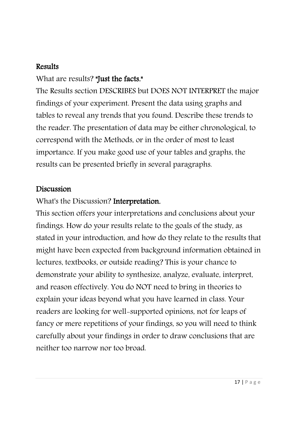### Results

## What are results? "Just the facts."

The Results section DESCRIBES but DOES NOT INTERPRET the major findings of your experiment. Present the data using graphs and tables to reveal any trends that you found. Describe these trends to the reader. The presentation of data may be either chronological, to correspond with the Methods, or in the order of most to least importance. If you make good use of your tables and graphs, the results can be presented briefly in several paragraphs.

### Discussion

## What's the Discussion? Interpretation.

This section offers your interpretations and conclusions about your findings. How do your results relate to the goals of the study, as stated in your introduction, and how do they relate to the results that might have been expected from background information obtained in lectures, textbooks, or outside reading? This is your chance to demonstrate your ability to synthesize, analyze, evaluate, interpret, and reason effectively. You do NOT need to bring in theories to explain your ideas beyond what you have learned in class. Your readers are looking for well-supported opinions, not for leaps of fancy or mere repetitions of your findings, so you will need to think carefully about your findings in order to draw conclusions that are neither too narrow nor too broad.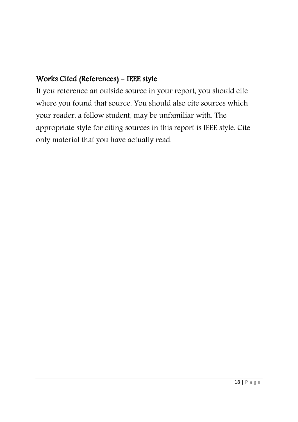# Works Cited (References) - IEEE style

If you reference an outside source in your report, you should cite where you found that source. You should also cite sources which your reader, a fellow student, may be unfamiliar with. The appropriate style for citing sources in this report is IEEE style. Cite only material that you have actually read.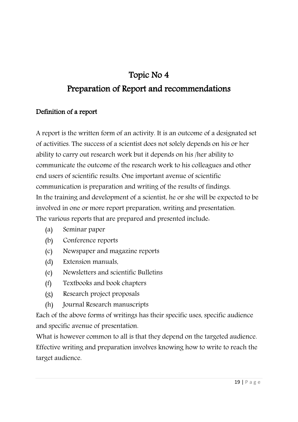# Topic No 4

# Preparation of Report and recommendations

#### Definition of a report

A report is the written form of an activity. It is an outcome of a designated set of activities. The success of a scientist does not solely depends on his or her ability to carry out research work but it depends on his /her ability to communicate the outcome of the research work to his colleagues and other end users of scientific results. One important avenue of scientific communication is preparation and writing of the results of findings. In the training and development of a scientist, he or she will be expected to be involved in one or more report preparation, writing and presentation. The various reports that are prepared and presented include:

- (a) Seminar paper
- (b) Conference reports
- (c) Newspaper and magazine reports
- (d) Extension manuals,
- (e) Newsletters and scientific Bulletins
- (f) Textbooks and book chapters
- (g) Research project proposals
- (h) Journal Research manuscripts

Each of the above forms of writings has their specific uses, specific audience and specific avenue of presentation.

What is however common to all is that they depend on the targeted audience. Effective writing and preparation involves knowing how to write to reach the target audience.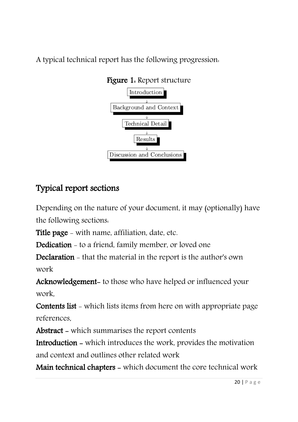A typical technical report has the following progression:



### Figure 1: Report structure

# Typical report sections

Depending on the nature of your document, it may (optionally) have the following sections:

Title page - with name, affiliation, date, etc.

Dedication - to a friend, family member, or loved one

Declaration - that the material in the report is the author's own work

Acknowledgement- to those who have helped or influenced your work,

Contents list - which lists items from here on with appropriate page references,

Abstract - which summarises the report contents

Introduction - which introduces the work, provides the motivation and context and outlines other related work

Main technical chapters - which document the core technical work